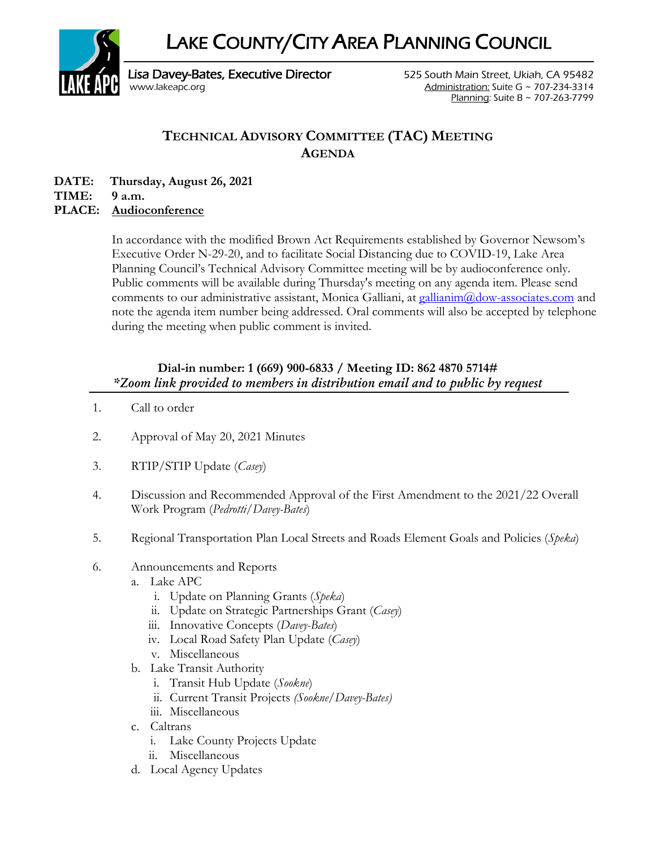LAKE COUNTY/CITY AREA PLANNING COUNCIL



Lisa Davey-Bates, Executive Director **525 South Main Street, Ukiah, CA 95482** [www.lakeapc.org](http://www.lakeapc.org/) Administration: Suite G ~ 707-234-3314 Planning: Suite B ~ 707-263-7799

## **TECHNICAL ADVISORY COMMITTEE (TAC) MEETING AGENDA**

**DATE: Thursday, August 26, 2021**

**TIME: 9 a.m.**

## **PLACE: Audioconference**

In accordance with the modified Brown Act Requirements established by Governor Newsom's Executive Order N-29-20, and to facilitate Social Distancing due to COVID-19, Lake Area Planning Council's Technical Advisory Committee meeting will be by audioconference only. Public comments will be available during Thursday's meeting on any agenda item. Please send comments to our administrative assistant, Monica Galliani, at [gallianim@dow-associates.com](mailto:gallianim@dow-associates.com) and note the agenda item number being addressed. Oral comments will also be accepted by telephone during the meeting when public comment is invited.

## **Dial-in number: 1 (669) 900-6833 / Meeting ID: 862 4870 5714#** *\*Zoom link provided to members in distribution email and to public by request*

- 1. Call to order
- 2. Approval of May 20, 2021 Minutes
- 3. RTIP/STIP Update (*Casey*)
- 4. Discussion and Recommended Approval of the First Amendment to the 2021/22 Overall Work Program (*Pedrotti/Davey-Bates*)
- 5. Regional Transportation Plan Local Streets and Roads Element Goals and Policies (*Speka*)
- 6. Announcements and Reports
	- a. Lake APC
		- i. Update on Planning Grants (*Speka*)
		- ii. Update on Strategic Partnerships Grant (*Casey*)
		- iii. Innovative Concepts (*Davey-Bates*)
		- iv. Local Road Safety Plan Update (*Casey*)
		- v. Miscellaneous
	- b. Lake Transit Authority
		- i. Transit Hub Update (*Sookne*)
		- ii. Current Transit Projects *(Sookne/Davey-Bates)*
		- iii. Miscellaneous
	- c. Caltrans
		- i. Lake County Projects Update
		- ii. Miscellaneous
	- d. Local Agency Updates